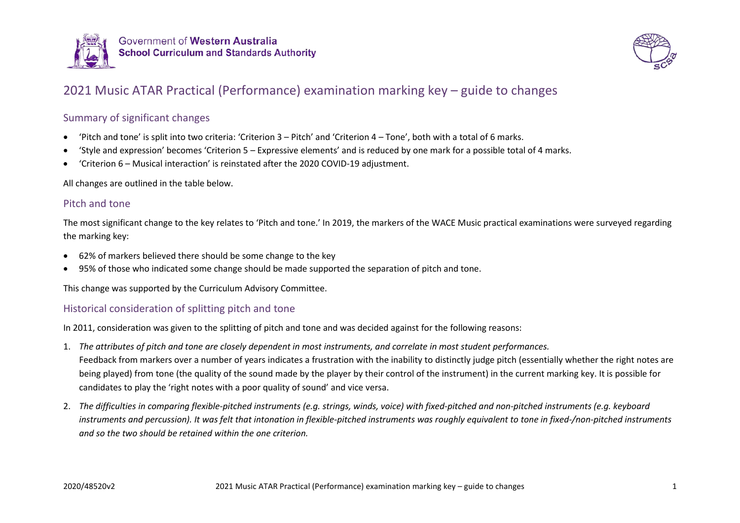

Government of Western Australia **School Curriculum and Standards Authority** 



# 2021 Music ATAR Practical (Performance) examination marking key – guide to changes

### Summary of significant changes

- 'Pitch and tone' is split into two criteria: 'Criterion 3 Pitch' and 'Criterion 4 Tone', both with a total of 6 marks.
- 'Style and expression' becomes 'Criterion 5 Expressive elements' and is reduced by one mark for a possible total of 4 marks.
- 'Criterion 6 Musical interaction' is reinstated after the 2020 COVID-19 adjustment.

All changes are outlined in the table below.

### Pitch and tone

The most significant change to the key relates to 'Pitch and tone.' In 2019, the markers of the WACE Music practical examinations were surveyed regarding the marking key:

- 62% of markers believed there should be some change to the key
- 95% of those who indicated some change should be made supported the separation of pitch and tone.

This change was supported by the Curriculum Advisory Committee.

### Historical consideration of splitting pitch and tone

In 2011, consideration was given to the splitting of pitch and tone and was decided against for the following reasons:

- 1. *The attributes of pitch and tone are closely dependent in most instruments, and correlate in most student performances.* Feedback from markers over a number of years indicates a frustration with the inability to distinctly judge pitch (essentially whether the right notes are being played) from tone (the quality of the sound made by the player by their control of the instrument) in the current marking key. It is possible for candidates to play the 'right notes with a poor quality of sound' and vice versa.
- 2. *The difficulties in comparing flexible-pitched instruments (e.g. strings, winds, voice) with fixed-pitched and non-pitched instruments (e.g. keyboard instruments and percussion). It was felt that intonation in flexible-pitched instruments was roughly equivalent to tone in fixed-/non-pitched instruments and so the two should be retained within the one criterion.*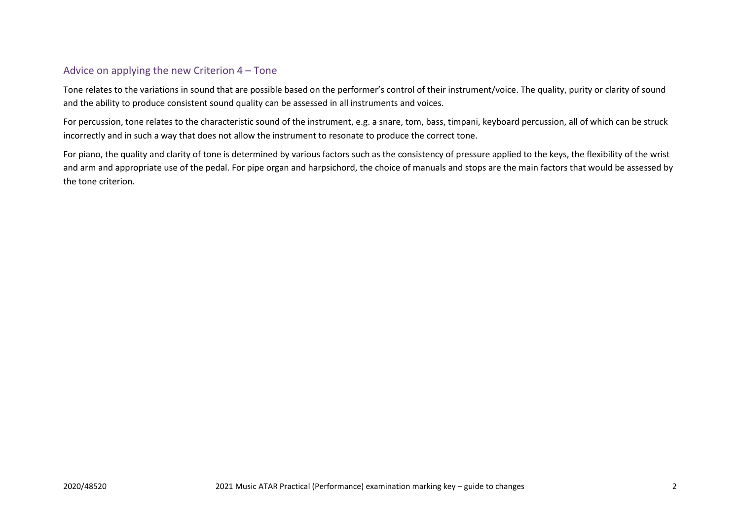#### Advice on applying the new Criterion 4 – Tone

Tone relates to the variations in sound that are possible based on the performer's control of their instrument/voice. The quality, purity or clarity of sound and the ability to produce consistent sound quality can be assessed in all instruments and voices.

For percussion, tone relates to the characteristic sound of the instrument, e.g. a snare, tom, bass, timpani, keyboard percussion, all of which can be struck incorrectly and in such a way that does not allow the instrument to resonate to produce the correct tone.

For piano, the quality and clarity of tone is determined by various factors such as the consistency of pressure applied to the keys, the flexibility of the wrist and arm and appropriate use of the pedal. For pipe organ and harpsichord, the choice of manuals and stops are the main factors that would be assessed by the tone criterion.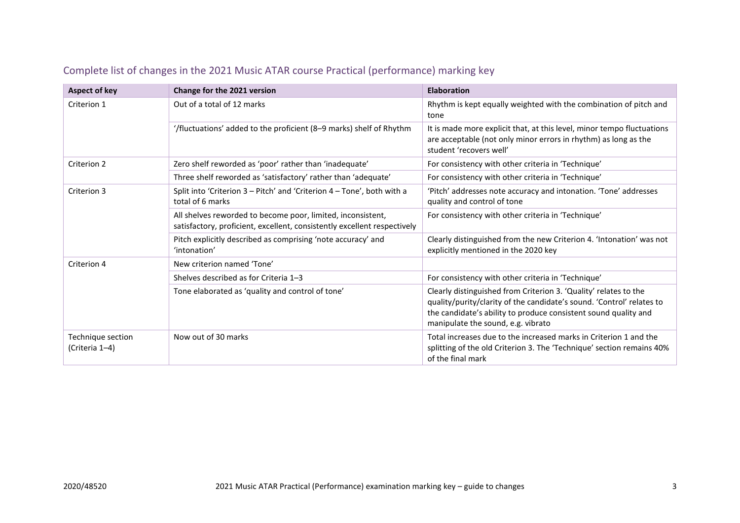| Aspect of key                       | Change for the 2021 version                                                                                                             | <b>Elaboration</b>                                                                                                                                                                                                                                 |
|-------------------------------------|-----------------------------------------------------------------------------------------------------------------------------------------|----------------------------------------------------------------------------------------------------------------------------------------------------------------------------------------------------------------------------------------------------|
| Criterion 1                         | Out of a total of 12 marks                                                                                                              | Rhythm is kept equally weighted with the combination of pitch and<br>tone                                                                                                                                                                          |
|                                     | '/fluctuations' added to the proficient (8-9 marks) shelf of Rhythm                                                                     | It is made more explicit that, at this level, minor tempo fluctuations<br>are acceptable (not only minor errors in rhythm) as long as the<br>student 'recovers well'                                                                               |
| Criterion 2                         | Zero shelf reworded as 'poor' rather than 'inadequate'                                                                                  | For consistency with other criteria in 'Technique'                                                                                                                                                                                                 |
|                                     | Three shelf reworded as 'satisfactory' rather than 'adequate'                                                                           | For consistency with other criteria in 'Technique'                                                                                                                                                                                                 |
| Criterion 3                         | Split into 'Criterion 3 - Pitch' and 'Criterion 4 - Tone', both with a<br>total of 6 marks                                              | 'Pitch' addresses note accuracy and intonation. 'Tone' addresses<br>quality and control of tone                                                                                                                                                    |
|                                     | All shelves reworded to become poor, limited, inconsistent,<br>satisfactory, proficient, excellent, consistently excellent respectively | For consistency with other criteria in 'Technique'                                                                                                                                                                                                 |
|                                     | Pitch explicitly described as comprising 'note accuracy' and<br>'intonation'                                                            | Clearly distinguished from the new Criterion 4. 'Intonation' was not<br>explicitly mentioned in the 2020 key                                                                                                                                       |
| Criterion 4                         | New criterion named 'Tone'                                                                                                              |                                                                                                                                                                                                                                                    |
|                                     | Shelves described as for Criteria 1-3                                                                                                   | For consistency with other criteria in 'Technique'                                                                                                                                                                                                 |
|                                     | Tone elaborated as 'quality and control of tone'                                                                                        | Clearly distinguished from Criterion 3. 'Quality' relates to the<br>quality/purity/clarity of the candidate's sound. 'Control' relates to<br>the candidate's ability to produce consistent sound quality and<br>manipulate the sound, e.g. vibrato |
| Technique section<br>(Criteria 1-4) | Now out of 30 marks                                                                                                                     | Total increases due to the increased marks in Criterion 1 and the<br>splitting of the old Criterion 3. The 'Technique' section remains 40%<br>of the final mark                                                                                    |

## Complete list of changes in the 2021 Music ATAR course Practical (performance) marking key